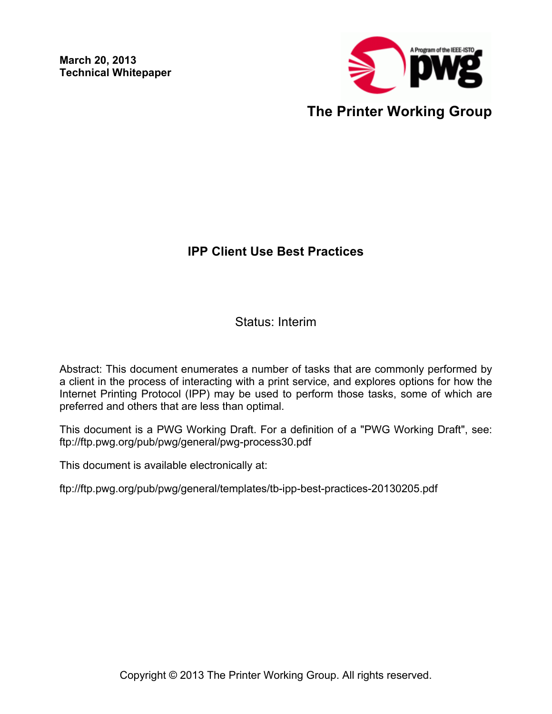**March 20, 2013 Technical Whitepaper**



## **IPP Client Use Best Practices**

Status: Interim

Abstract: This document enumerates a number of tasks that are commonly performed by a client in the process of interacting with a print service, and explores options for how the Internet Printing Protocol (IPP) may be used to perform those tasks, some of which are preferred and others that are less than optimal.

This document is a PWG Working Draft. For a definition of a "PWG Working Draft", see: ftp://ftp.pwg.org/pub/pwg/general/pwg-process30.pdf

This document is available electronically at:

ftp://ftp.pwg.org/pub/pwg/general/templates/tb-ipp-best-practices-20130205.pdf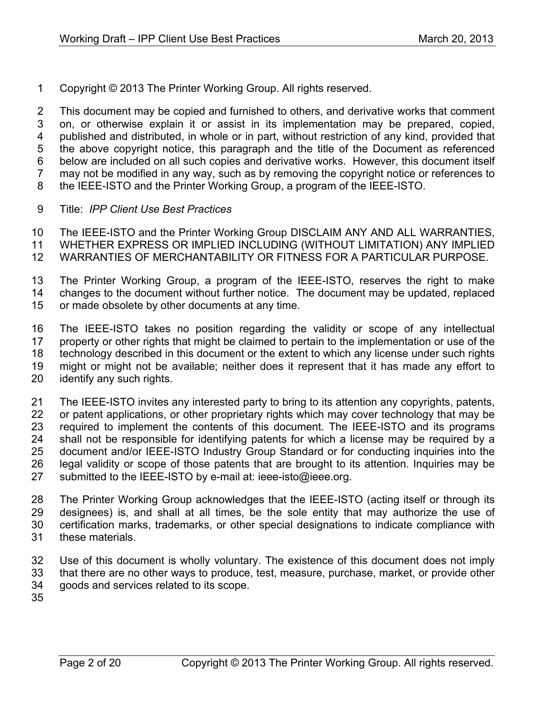Copyright © 2013 The Printer Working Group. All rights reserved.

 This document may be copied and furnished to others, and derivative works that comment on, or otherwise explain it or assist in its implementation may be prepared, copied, published and distributed, in whole or in part, without restriction of any kind, provided that the above copyright notice, this paragraph and the title of the Document as referenced below are included on all such copies and derivative works. However, this document itself may not be modified in any way, such as by removing the copyright notice or references to the IEEE-ISTO and the Printer Working Group, a program of the IEEE-ISTO.

Title: *IPP Client Use Best Practices*

 The IEEE-ISTO and the Printer Working Group DISCLAIM ANY AND ALL WARRANTIES, WHETHER EXPRESS OR IMPLIED INCLUDING (WITHOUT LIMITATION) ANY IMPLIED

- WARRANTIES OF MERCHANTABILITY OR FITNESS FOR A PARTICULAR PURPOSE.
- The Printer Working Group, a program of the IEEE-ISTO, reserves the right to make changes to the document without further notice. The document may be updated, replaced
- or made obsolete by other documents at any time.

 The IEEE-ISTO takes no position regarding the validity or scope of any intellectual property or other rights that might be claimed to pertain to the implementation or use of the technology described in this document or the extent to which any license under such rights might or might not be available; neither does it represent that it has made any effort to identify any such rights.

 The IEEE-ISTO invites any interested party to bring to its attention any copyrights, patents, 22 or patent applications, or other proprietary rights which may cover technology that may be required to implement the contents of this document. The IEEE-ISTO and its programs shall not be responsible for identifying patents for which a license may be required by a document and/or IEEE-ISTO Industry Group Standard or for conducting inquiries into the legal validity or scope of those patents that are brought to its attention. Inquiries may be 27 submitted to the IEEE-ISTO by e-mail at: ieee-isto@ieee.org.

 The Printer Working Group acknowledges that the IEEE-ISTO (acting itself or through its designees) is, and shall at all times, be the sole entity that may authorize the use of certification marks, trademarks, or other special designations to indicate compliance with these materials.

 Use of this document is wholly voluntary. The existence of this document does not imply that there are no other ways to produce, test, measure, purchase, market, or provide other goods and services related to its scope.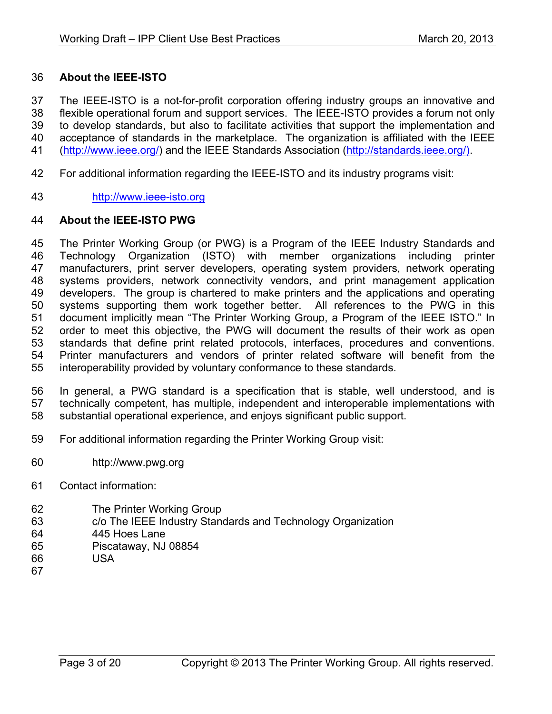#### **About the IEEE-ISTO**

 The IEEE-ISTO is a not-for-profit corporation offering industry groups an innovative and flexible operational forum and support services. The IEEE-ISTO provides a forum not only to develop standards, but also to facilitate activities that support the implementation and acceptance of standards in the marketplace. The organization is affiliated with the IEEE (http://www.ieee.org/) and the IEEE Standards Association (http://standards.ieee.org/).

- For additional information regarding the IEEE-ISTO and its industry programs visit:
- http://www.ieee-isto.org

#### **About the IEEE-ISTO PWG**

 The Printer Working Group (or PWG) is a Program of the IEEE Industry Standards and Technology Organization (ISTO) with member organizations including printer manufacturers, print server developers, operating system providers, network operating systems providers, network connectivity vendors, and print management application developers. The group is chartered to make printers and the applications and operating systems supporting them work together better. All references to the PWG in this document implicitly mean "The Printer Working Group, a Program of the IEEE ISTO." In order to meet this objective, the PWG will document the results of their work as open standards that define print related protocols, interfaces, procedures and conventions. Printer manufacturers and vendors of printer related software will benefit from the interoperability provided by voluntary conformance to these standards.

 In general, a PWG standard is a specification that is stable, well understood, and is technically competent, has multiple, independent and interoperable implementations with substantial operational experience, and enjoys significant public support.

- For additional information regarding the Printer Working Group visit:
- http://www.pwg.org
- Contact information:
- The Printer Working Group
- c/o The IEEE Industry Standards and Technology Organization
- 445 Hoes Lane
- Piscataway, NJ 08854
- USA
-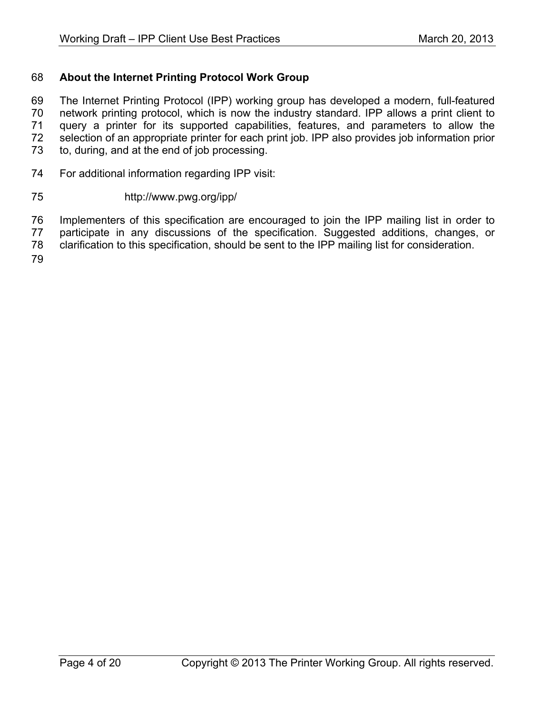### **About the Internet Printing Protocol Work Group**

 The Internet Printing Protocol (IPP) working group has developed a modern, full-featured network printing protocol, which is now the industry standard. IPP allows a print client to query a printer for its supported capabilities, features, and parameters to allow the selection of an appropriate printer for each print job. IPP also provides job information prior to, during, and at the end of job processing.

For additional information regarding IPP visit:

#### http://www.pwg.org/ipp/

Implementers of this specification are encouraged to join the IPP mailing list in order to

participate in any discussions of the specification. Suggested additions, changes, or

clarification to this specification, should be sent to the IPP mailing list for consideration.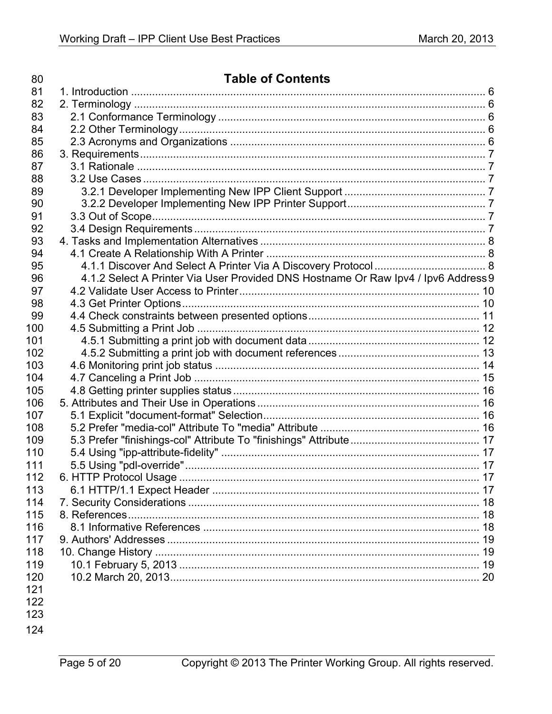| 80  | <b>Table of Contents</b>                                                           |  |
|-----|------------------------------------------------------------------------------------|--|
| 81  |                                                                                    |  |
| 82  |                                                                                    |  |
| 83  |                                                                                    |  |
| 84  |                                                                                    |  |
| 85  |                                                                                    |  |
| 86  |                                                                                    |  |
| 87  |                                                                                    |  |
| 88  |                                                                                    |  |
| 89  |                                                                                    |  |
| 90  |                                                                                    |  |
| 91  |                                                                                    |  |
| 92  |                                                                                    |  |
| 93  |                                                                                    |  |
| 94  |                                                                                    |  |
| 95  |                                                                                    |  |
| 96  | 4.1.2 Select A Printer Via User Provided DNS Hostname Or Raw Ipv4 / Ipv6 Address 9 |  |
| 97  |                                                                                    |  |
| 98  |                                                                                    |  |
| 99  |                                                                                    |  |
| 100 |                                                                                    |  |
| 101 |                                                                                    |  |
| 102 |                                                                                    |  |
| 103 |                                                                                    |  |
| 104 |                                                                                    |  |
| 105 |                                                                                    |  |
| 106 |                                                                                    |  |
| 107 |                                                                                    |  |
| 108 |                                                                                    |  |
| 109 |                                                                                    |  |
| 110 |                                                                                    |  |
| 111 |                                                                                    |  |
| 112 |                                                                                    |  |
| 113 |                                                                                    |  |
| 114 |                                                                                    |  |
| 115 |                                                                                    |  |
| 116 |                                                                                    |  |
| 117 |                                                                                    |  |
| 118 |                                                                                    |  |
| 119 |                                                                                    |  |
| 120 |                                                                                    |  |
| 121 |                                                                                    |  |
| 122 |                                                                                    |  |
| 123 |                                                                                    |  |
|     |                                                                                    |  |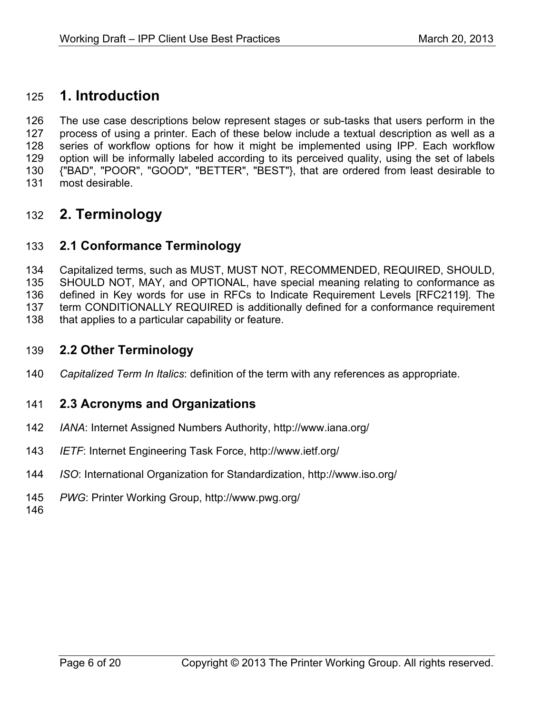# **1. Introduction**

 The use case descriptions below represent stages or sub-tasks that users perform in the process of using a printer. Each of these below include a textual description as well as a series of workflow options for how it might be implemented using IPP. Each workflow option will be informally labeled according to its perceived quality, using the set of labels {"BAD", "POOR", "GOOD", "BETTER", "BEST"}, that are ordered from least desirable to most desirable.

# **2. Terminology**

## **2.1 Conformance Terminology**

 Capitalized terms, such as MUST, MUST NOT, RECOMMENDED, REQUIRED, SHOULD, SHOULD NOT, MAY, and OPTIONAL, have special meaning relating to conformance as defined in Key words for use in RFCs to Indicate Requirement Levels [RFC2119]. The term CONDITIONALLY REQUIRED is additionally defined for a conformance requirement 138 that applies to a particular capability or feature.

### **2.2 Other Terminology**

*Capitalized Term In Italics*: definition of the term with any references as appropriate.

### **2.3 Acronyms and Organizations**

- *IANA*: Internet Assigned Numbers Authority, http://www.iana.org/
- *IETF*: Internet Engineering Task Force, http://www.ietf.org/
- *ISO*: International Organization for Standardization, http://www.iso.org/
- *PWG*: Printer Working Group, http://www.pwg.org/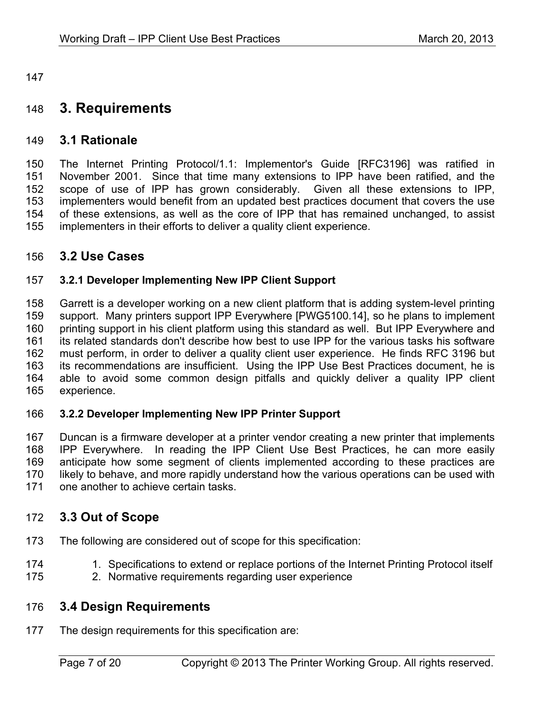# **3. Requirements**

#### **3.1 Rationale**

 The Internet Printing Protocol/1.1: Implementor's Guide [RFC3196] was ratified in November 2001. Since that time many extensions to IPP have been ratified, and the scope of use of IPP has grown considerably. Given all these extensions to IPP, implementers would benefit from an updated best practices document that covers the use of these extensions, as well as the core of IPP that has remained unchanged, to assist implementers in their efforts to deliver a quality client experience.

#### **3.2 Use Cases**

#### **3.2.1 Developer Implementing New IPP Client Support**

 Garrett is a developer working on a new client platform that is adding system-level printing support. Many printers support IPP Everywhere [PWG5100.14], so he plans to implement 160 printing support in his client platform using this standard as well. But IPP Everywhere and its related standards don't describe how best to use IPP for the various tasks his software must perform, in order to deliver a quality client user experience. He finds RFC 3196 but its recommendations are insufficient. Using the IPP Use Best Practices document, he is able to avoid some common design pitfalls and quickly deliver a quality IPP client experience.

#### **3.2.2 Developer Implementing New IPP Printer Support**

 Duncan is a firmware developer at a printer vendor creating a new printer that implements IPP Everywhere. In reading the IPP Client Use Best Practices, he can more easily anticipate how some segment of clients implemented according to these practices are likely to behave, and more rapidly understand how the various operations can be used with one another to achieve certain tasks.

### **3.3 Out of Scope**

- The following are considered out of scope for this specification:
- 174 1. Specifications to extend or replace portions of the Internet Printing Protocol itself
- 2. Normative requirements regarding user experience

### **3.4 Design Requirements**

The design requirements for this specification are: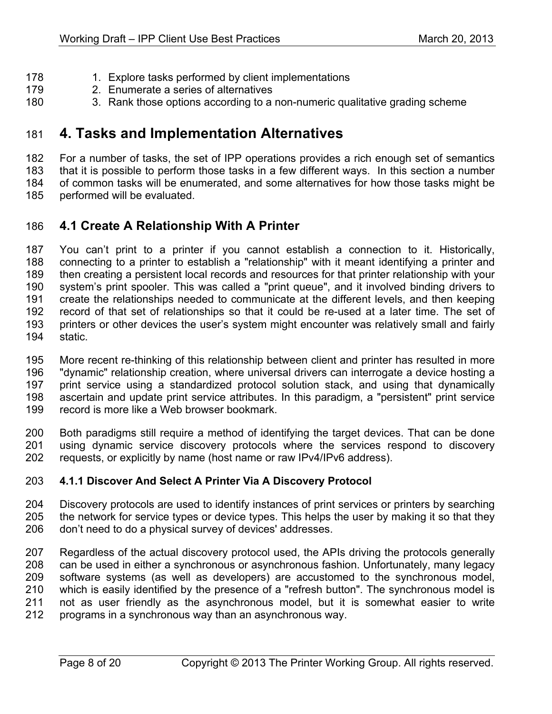- 178 1. Explore tasks performed by client implementations
- 2. Enumerate a series of alternatives
- 3. Rank those options according to a non-numeric qualitative grading scheme

# **4. Tasks and Implementation Alternatives**

 For a number of tasks, the set of IPP operations provides a rich enough set of semantics that it is possible to perform those tasks in a few different ways. In this section a number of common tasks will be enumerated, and some alternatives for how those tasks might be

performed will be evaluated.

## **4.1 Create A Relationship With A Printer**

 You can't print to a printer if you cannot establish a connection to it. Historically, connecting to a printer to establish a "relationship" with it meant identifying a printer and then creating a persistent local records and resources for that printer relationship with your system's print spooler. This was called a "print queue", and it involved binding drivers to create the relationships needed to communicate at the different levels, and then keeping record of that set of relationships so that it could be re-used at a later time. The set of printers or other devices the user's system might encounter was relatively small and fairly static.

 More recent re-thinking of this relationship between client and printer has resulted in more "dynamic" relationship creation, where universal drivers can interrogate a device hosting a print service using a standardized protocol solution stack, and using that dynamically ascertain and update print service attributes. In this paradigm, a "persistent" print service record is more like a Web browser bookmark.

 Both paradigms still require a method of identifying the target devices. That can be done using dynamic service discovery protocols where the services respond to discovery requests, or explicitly by name (host name or raw IPv4/IPv6 address).

#### **4.1.1 Discover And Select A Printer Via A Discovery Protocol**

 Discovery protocols are used to identify instances of print services or printers by searching the network for service types or device types. This helps the user by making it so that they don't need to do a physical survey of devices' addresses.

 Regardless of the actual discovery protocol used, the APIs driving the protocols generally can be used in either a synchronous or asynchronous fashion. Unfortunately, many legacy software systems (as well as developers) are accustomed to the synchronous model, which is easily identified by the presence of a "refresh button". The synchronous model is not as user friendly as the asynchronous model, but it is somewhat easier to write programs in a synchronous way than an asynchronous way.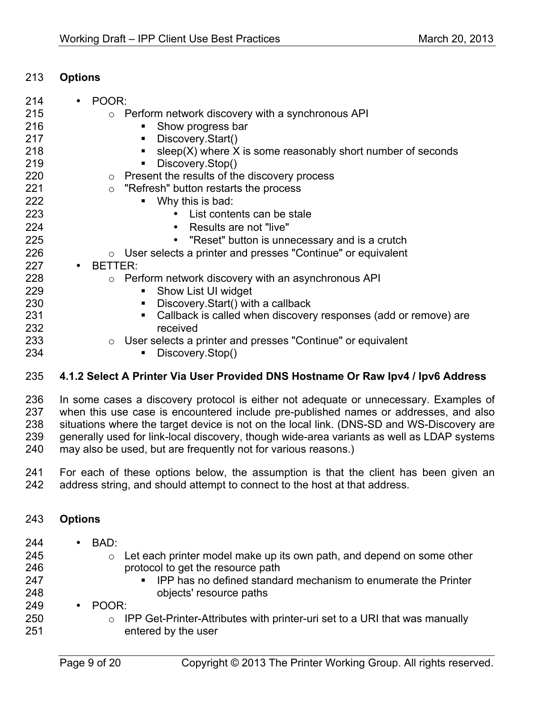#### **Options**

| 214 | POOR:                                                                             |
|-----|-----------------------------------------------------------------------------------|
| 215 | Perform network discovery with a synchronous API<br>$\cap$                        |
| 216 | Show progress bar                                                                 |
| 217 | Discovery.Start()                                                                 |
| 218 | $sleep(X)$ where X is some reasonably short number of seconds<br>п                |
| 219 | Discovery.Stop()                                                                  |
| 220 | $\circ$ Present the results of the discovery process                              |
| 221 | "Refresh" button restarts the process<br>$\circ$                                  |
| 222 | Why this is bad:                                                                  |
| 223 | List contents can be stale                                                        |
| 224 | Results are not "live"                                                            |
| 225 | "Reset" button is unnecessary and is a crutch<br>$\bullet$                        |
| 226 | $\circ$ User selects a printer and presses "Continue" or equivalent               |
| 227 | BETTER:                                                                           |
| 228 | Perform network discovery with an asynchronous API<br>$\circ$                     |
| 229 | Show List UI widget                                                               |
| 230 | Discovery. Start() with a callback<br>ш                                           |
| 231 | Callback is called when discovery responses (add or remove) are<br>$\blacksquare$ |
| 232 | received                                                                          |
| 233 | User selects a printer and presses "Continue" or equivalent<br>$\circ$            |
| 234 | Discovery.Stop()                                                                  |
| 235 | 4.1.2 Select A Printer Via Llser Provided DNS Hostname Or Raw Inv4 / Inv6 Addre   |

### **4.1.2 Select A Printer Via User Provided DNS Hostname Or Raw Ipv4 / Ipv6 Address**

 In some cases a discovery protocol is either not adequate or unnecessary. Examples of when this use case is encountered include pre-published names or addresses, and also 238 situations where the target device is not on the local link. (DNS-SD and WS-Discovery are generally used for link-local discovery, though wide-area variants as well as LDAP systems may also be used, but are frequently not for various reasons.)

 For each of these options below, the assumption is that the client has been given an address string, and should attempt to connect to the host at that address.

### **Options**

- BAD:
- 
- 
- 
- protocol to get the resource path
- **IPP has no defined standard mechanism to enumerate the Printer** objects' resource paths

 $\circ$  Let each printer model make up its own path, and depend on some other

- POOR:
- 250 o IPP Get-Printer-Attributes with printer-uri set to a URI that was manually 251 entered by the user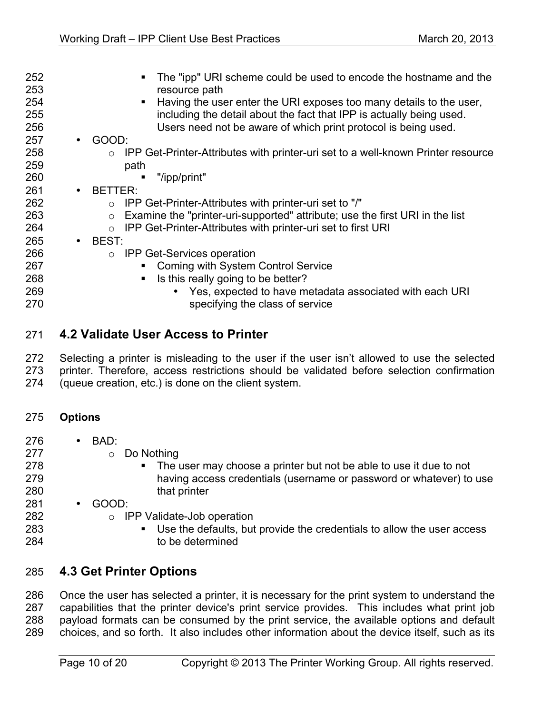| 252<br>253<br>254<br>255<br>256<br>257<br>258<br>259<br>260<br>261<br>262<br>263<br>264<br>265<br>266<br>267<br>268 | $\bullet$<br>$\bullet$<br>$\bullet$ | The "ipp" URI scheme could be used to encode the hostname and the<br>resource path<br>Having the user enter the URI exposes too many details to the user,<br>$\blacksquare$<br>including the detail about the fact that IPP is actually being used.<br>Users need not be aware of which print protocol is being used.<br>GOOD:<br>IPP Get-Printer-Attributes with printer-uri set to a well-known Printer resource<br>$\circ$<br>path<br>"/ipp/print"<br>ш<br>BETTER:<br>IPP Get-Printer-Attributes with printer-uri set to "/"<br>Examine the "printer-uri-supported" attribute; use the first URI in the list<br>$\circ$<br>IPP Get-Printer-Attributes with printer-uri set to first URI<br>$\circ$<br>BEST:<br>$\circ$ IPP Get-Services operation<br>• Coming with System Control Service<br>Is this really going to be better?<br>$\blacksquare$ |
|---------------------------------------------------------------------------------------------------------------------|-------------------------------------|------------------------------------------------------------------------------------------------------------------------------------------------------------------------------------------------------------------------------------------------------------------------------------------------------------------------------------------------------------------------------------------------------------------------------------------------------------------------------------------------------------------------------------------------------------------------------------------------------------------------------------------------------------------------------------------------------------------------------------------------------------------------------------------------------------------------------------------------------|
| 269<br>270                                                                                                          |                                     | Yes, expected to have metadata associated with each URI<br>$\bullet$<br>specifying the class of service                                                                                                                                                                                                                                                                                                                                                                                                                                                                                                                                                                                                                                                                                                                                              |
|                                                                                                                     |                                     |                                                                                                                                                                                                                                                                                                                                                                                                                                                                                                                                                                                                                                                                                                                                                                                                                                                      |

## **4.2 Validate User Access to Printer**

 Selecting a printer is misleading to the user if the user isn't allowed to use the selected printer. Therefore, access restrictions should be validated before selection confirmation

(queue creation, etc.) is done on the client system.

#### **Options**

- 276 BAD:<br>277
	- $\circ$  Do Nothing
- **The user may choose a printer but not be able to use it due to not**  having access credentials (username or password or whatever) to use 280 that printer
- GOOD:
	- $\circ$  IPP Validate-Job operation
- **Use the defaults, but provide the credentials to allow the user access** to be determined

### **4.3 Get Printer Options**

 Once the user has selected a printer, it is necessary for the print system to understand the capabilities that the printer device's print service provides. This includes what print job payload formats can be consumed by the print service, the available options and default choices, and so forth. It also includes other information about the device itself, such as its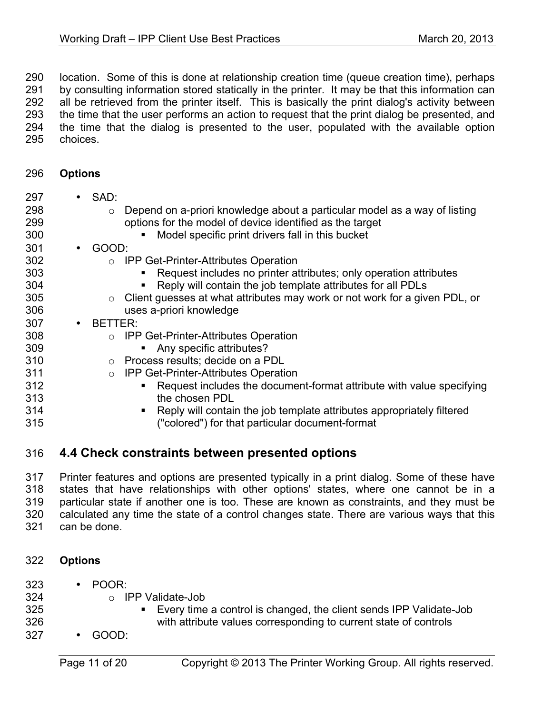290 location. Some of this is done at relationship creation time (queue creation time), perhaps<br>291 by consulting information stored statically in the printer. It may be that this information can by consulting information stored statically in the printer. It may be that this information can all be retrieved from the printer itself. This is basically the print dialog's activity between the time that the user performs an action to request that the print dialog be presented, and the time that the dialog is presented to the user, populated with the available option choices.

**Options**

| 297<br>298<br>299<br>300 |           | $\cdot$ SAD:<br>Depend on a-priori knowledge about a particular model as a way of listing<br>$\circ$<br>options for the model of device identified as the target<br>Model specific print drivers fall in this bucket |
|--------------------------|-----------|----------------------------------------------------------------------------------------------------------------------------------------------------------------------------------------------------------------------|
| 301                      | $\bullet$ | GOOD:                                                                                                                                                                                                                |
| 302                      |           | <b>IPP Get-Printer-Attributes Operation</b><br>$\Omega$                                                                                                                                                              |
| 303                      |           | Request includes no printer attributes; only operation attributes                                                                                                                                                    |
| 304                      |           | Reply will contain the job template attributes for all PDLs                                                                                                                                                          |
| 305                      |           | Client guesses at what attributes may work or not work for a given PDL, or<br>$\circ$                                                                                                                                |
| 306                      |           | uses a-priori knowledge                                                                                                                                                                                              |
| 307                      | $\bullet$ | BETTER:                                                                                                                                                                                                              |
| 308                      |           | <b>IPP Get-Printer-Attributes Operation</b>                                                                                                                                                                          |
| 309                      |           | Any specific attributes?                                                                                                                                                                                             |
| 310                      |           | Process results; decide on a PDL<br>$\circ$                                                                                                                                                                          |
| 311                      |           | IPP Get-Printer-Attributes Operation<br>$\circ$                                                                                                                                                                      |
| 312                      |           | Request includes the document-format attribute with value specifying                                                                                                                                                 |
| 313                      |           | the chosen PDL                                                                                                                                                                                                       |
| 314                      |           | Reply will contain the job template attributes appropriately filtered                                                                                                                                                |
| 315                      |           | ("colored") for that particular document-format                                                                                                                                                                      |
|                          |           |                                                                                                                                                                                                                      |

### **4.4 Check constraints between presented options**

 Printer features and options are presented typically in a print dialog. Some of these have states that have relationships with other options' states, where one cannot be in a particular state if another one is too. These are known as constraints, and they must be calculated any time the state of a control changes state. There are various ways that this can be done.

- **Options**
- POOR:
- 324 o IPP Validate-Job<br>325 **·** Every time
- Every time a control is changed, the client sends IPP Validate-Job with attribute values corresponding to current state of controls
- GOOD: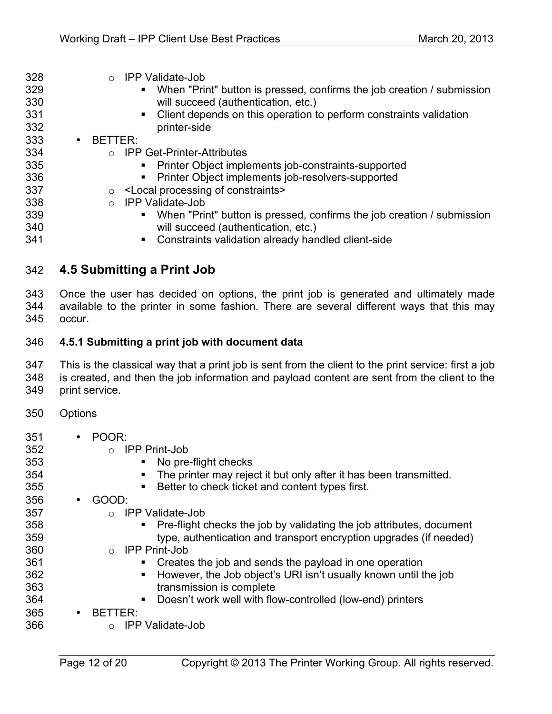| 328<br>329<br>330<br>331 | <b>IPP Validate-Job</b><br>$\bigcirc$<br>When "Print" button is pressed, confirms the job creation / submission<br>$\blacksquare$<br>will succeed (authentication, etc.)<br>• Client depends on this operation to perform constraints validation |
|--------------------------|--------------------------------------------------------------------------------------------------------------------------------------------------------------------------------------------------------------------------------------------------|
| 332                      | printer-side                                                                                                                                                                                                                                     |
| 333                      | BETTER:<br>$\bullet$                                                                                                                                                                                                                             |
| 334                      | <b>IPP Get-Printer-Attributes</b><br>$\bigcap$                                                                                                                                                                                                   |
| 335                      | Printer Object implements job-constraints-supported                                                                                                                                                                                              |
| 336                      | Printer Object implements job-resolvers-supported                                                                                                                                                                                                |
| 337                      | <local constraints="" of="" processing=""></local>                                                                                                                                                                                               |

o IPP Validate-Job

**• When "Print" button is pressed, confirms the job creation / submission** will succeed (authentication, etc.)

**• Constraints validation already handled client-side** 

## **4.5 Submitting a Print Job**

 Once the user has decided on options, the print job is generated and ultimately made available to the printer in some fashion. There are several different ways that this may occur.

#### **4.5.1 Submitting a print job with document data**

 This is the classical way that a print job is sent from the client to the print service: first a job is created, and then the job information and payload content are sent from the client to the

- print service.
	- Options
	- POOR:
	- o IPP Print-Job
	- § No pre-flight checks
	- **••** The printer may reject it but only after it has been transmitted.
	- § Better to check ticket and content types first.
	- GOOD:
		- o IPP Validate-Job
	- § Pre-flight checks the job by validating the job attributes, document type, authentication and transport encryption upgrades (if needed)
	- o IPP Print-Job
	- **•• Creates the job and sends the payload in one operation**
	- **•• However, the Job object's URI isn't usually known until the job** transmission is complete
	- **••** Doesn't work well with flow-controlled (low-end) printers
	- BETTER:
	- o IPP Validate-Job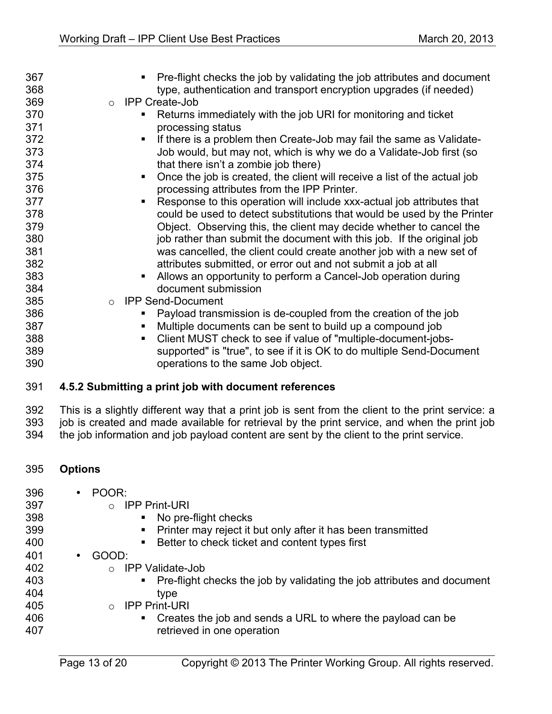| 367    | • Pre-flight checks the job by validating the job attributes and document                         |
|--------|---------------------------------------------------------------------------------------------------|
| 368    | type, authentication and transport encryption upgrades (if needed)                                |
| 369    | o IPP Create-Job                                                                                  |
| 370    | Returns immediately with the job URI for monitoring and ticket                                    |
| 371    | processing status                                                                                 |
| 372    | If there is a problem then Create-Job may fail the same as Validate-                              |
| 373    | Job would, but may not, which is why we do a Validate-Job first (so                               |
| 374    | that there isn't a zombie job there)                                                              |
| 375    | Once the job is created, the client will receive a list of the actual job<br>$\blacksquare$       |
| 376    | processing attributes from the IPP Printer.                                                       |
| 377    | Response to this operation will include xxx-actual job attributes that                            |
| 378    | could be used to detect substitutions that would be used by the Printer                           |
| 379    | Object. Observing this, the client may decide whether to cancel the                               |
| 380    | job rather than submit the document with this job. If the original job                            |
| 381    | was cancelled, the client could create another job with a new set of                              |
| 382    | attributes submitted, or error out and not submit a job at all                                    |
| 383    | Allows an opportunity to perform a Cancel-Job operation during                                    |
| 384    | document submission                                                                               |
| 385    | <b>IPP Send-Document</b><br>$\circ$                                                               |
| 386    | Payload transmission is de-coupled from the creation of the job                                   |
| 387    | Multiple documents can be sent to build up a compound job<br>٠                                    |
| 388    | Client MUST check to see if value of "multiple-document-jobs-                                     |
| 389    | supported" is "true", to see if it is OK to do multiple Send-Document                             |
| 390    | operations to the same Job object.                                                                |
| 391    | 4.5.2 Submitting a print job with document references                                             |
| $\sim$ | This is a alightly different year that a point ish is sout from the alight to the point sensing , |

 This is a slightly different way that a print job is sent from the client to the print service: a job is created and made available for retrieval by the print service, and when the print job the job information and job payload content are sent by the client to the print service.

- **Options**
- POOR:
- o IPP Print-URI
	- No pre-flight checks
- **•** Printer may reject it but only after it has been transmitted
- 400 Better to check ticket and content types first
- GOOD:
- o IPP Validate-Job
- Pre-flight checks the job by validating the job attributes and document type
- o IPP Print-URI
- **Creates the job and sends a URL to where the payload can be** retrieved in one operation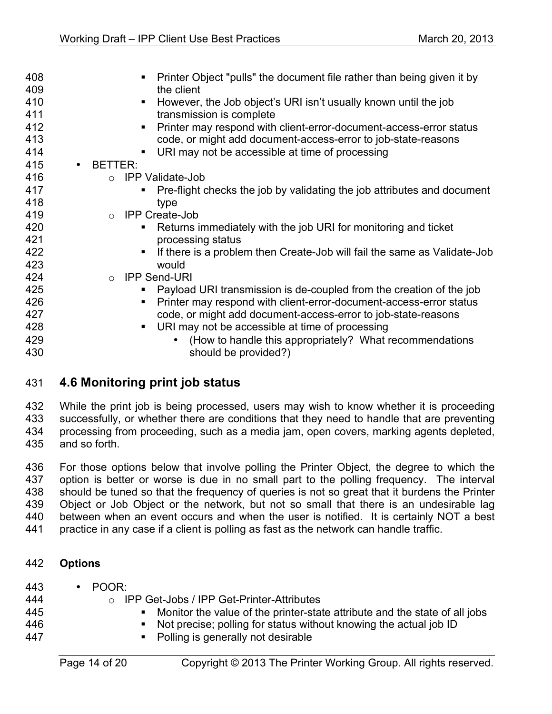| 408<br>Printer Object "pulls" the document file rather than being given it by<br>409<br>the client |  |
|----------------------------------------------------------------------------------------------------|--|
|                                                                                                    |  |
| 410<br>However, the Job object's URI isn't usually known until the job                             |  |
| 411<br>transmission is complete                                                                    |  |
| 412<br>Printer may respond with client-error-document-access-error status                          |  |
| 413<br>code, or might add document-access-error to job-state-reasons                               |  |
| 414<br>URI may not be accessible at time of processing<br>$\blacksquare$                           |  |
| 415<br>BETTER:<br>$\bullet$                                                                        |  |
| 416<br>○ IPP Validate-Job                                                                          |  |
| 417<br>Pre-flight checks the job by validating the job attributes and document                     |  |
| 418<br>type                                                                                        |  |
| 419<br>o IPP Create-Job                                                                            |  |
| 420<br>Returns immediately with the job URI for monitoring and ticket                              |  |
| 421<br>processing status                                                                           |  |
| 422<br>If there is a problem then Create-Job will fail the same as Validate-Job<br>$\blacksquare$  |  |
| 423<br>would                                                                                       |  |
| 424<br>o IPP Send-URI                                                                              |  |
| 425<br>Payload URI transmission is de-coupled from the creation of the job                         |  |
| 426<br>Printer may respond with client-error-document-access-error status                          |  |
| 427<br>code, or might add document-access-error to job-state-reasons                               |  |
| 428<br>URI may not be accessible at time of processing<br>$\blacksquare$                           |  |
| 429<br>(How to handle this appropriately? What recommendations                                     |  |
|                                                                                                    |  |

## **4.6 Monitoring print job status**

 While the print job is being processed, users may wish to know whether it is proceeding successfully, or whether there are conditions that they need to handle that are preventing processing from proceeding, such as a media jam, open covers, marking agents depleted, and so forth.

 For those options below that involve polling the Printer Object, the degree to which the option is better or worse is due in no small part to the polling frequency. The interval should be tuned so that the frequency of queries is not so great that it burdens the Printer Object or Job Object or the network, but not so small that there is an undesirable lag between when an event occurs and when the user is notified. It is certainly NOT a best practice in any case if a client is polling as fast as the network can handle traffic.

#### **Options**

- POOR:
- o IPP Get-Jobs / IPP Get-Printer-Attributes
- § Monitor the value of the printer-state attribute and the state of all jobs
- 446 Not precise; polling for status without knowing the actual job ID
- 447 Bolling is generally not desirable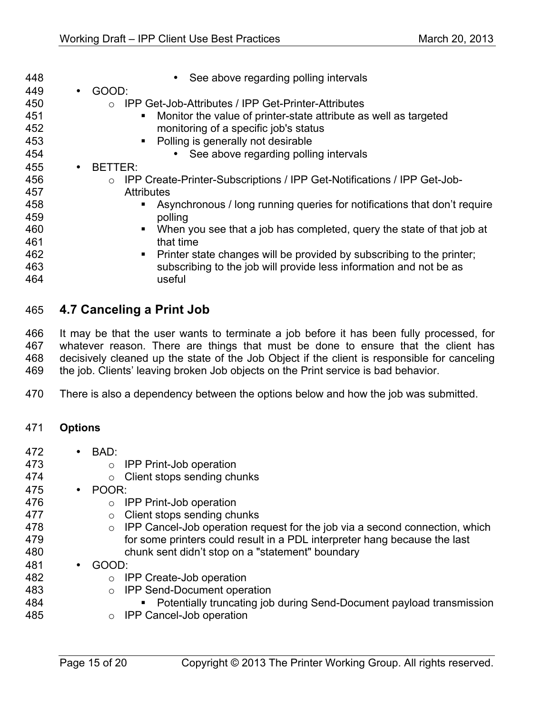| 448 | • See above regarding polling intervals                                                 |
|-----|-----------------------------------------------------------------------------------------|
| 449 | GOOD:<br>$\bullet$                                                                      |
| 450 | ○ IPP Get-Job-Attributes / IPP Get-Printer-Attributes                                   |
| 451 | Monitor the value of printer-state attribute as well as targeted<br>п                   |
| 452 | monitoring of a specific job's status                                                   |
| 453 | Polling is generally not desirable<br>п                                                 |
| 454 | • See above regarding polling intervals                                                 |
| 455 | BETTER:<br>$\bullet$                                                                    |
| 456 | IPP Create-Printer-Subscriptions / IPP Get-Notifications / IPP Get-Job-<br>$\circ$      |
| 457 | <b>Attributes</b>                                                                       |
| 458 | Asynchronous / long running queries for notifications that don't require                |
| 459 | polling                                                                                 |
| 460 | When you see that a job has completed, query the state of that job at                   |
| 461 | that time                                                                               |
| 462 | Printer state changes will be provided by subscribing to the printer;<br>$\blacksquare$ |
| 463 | subscribing to the job will provide less information and not be as                      |
| 464 | useful                                                                                  |
|     |                                                                                         |

## **4.7 Canceling a Print Job**

 It may be that the user wants to terminate a job before it has been fully processed, for whatever reason. There are things that must be done to ensure that the client has decisively cleaned up the state of the Job Object if the client is responsible for canceling the job. Clients' leaving broken Job objects on the Print service is bad behavior.

There is also a dependency between the options below and how the job was submitted.

### **Options**

- 472 BAD:<br>473
	- $\circ$  IPP Print-Job operation
- **o** Client stops sending chunks
- POOR:
	- $\circ$  IPP Print-Job operation
- 477 **deciment of Client stops sending chunks**<br>478 **o IPP Cancel-Job operation re**
- $\circ$  IPP Cancel-Job operation request for the job via a second connection, which for some printers could result in a PDL interpreter hang because the last chunk sent didn't stop on a "statement" boundary
- GOOD:
- 482 o IPP Create-Job operation<br>483 o IPP Send-Document opera
	- o IPP Send-Document operation
- **••** Potentially truncating job during Send-Document payload transmission
- o IPP Cancel-Job operation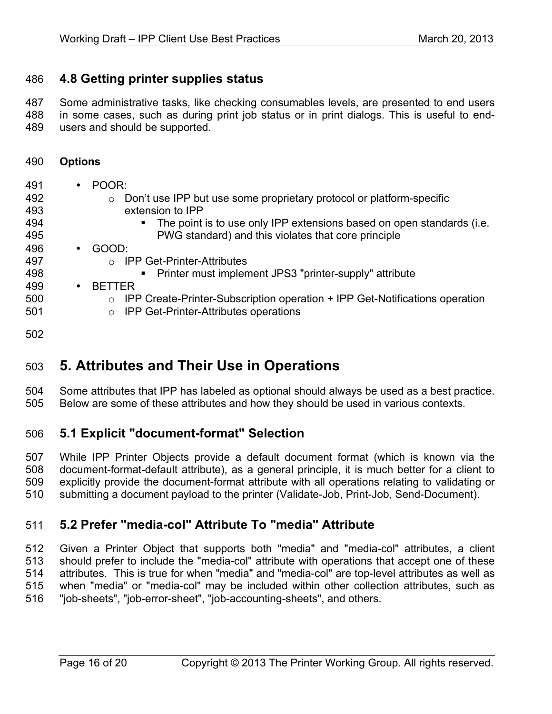## **4.8 Getting printer supplies status**

 Some administrative tasks, like checking consumables levels, are presented to end users in some cases, such as during print job status or in print dialogs. This is useful to end-users and should be supported.

**Options**

| 491 | $\bullet$ | POOR:                                                                                   |
|-----|-----------|-----------------------------------------------------------------------------------------|
| 492 |           | Don't use IPP but use some proprietary protocol or platform-specific<br>$\circ$         |
| 493 |           | extension to IPP                                                                        |
| 494 |           | The point is to use only IPP extensions based on open standards (i.e.<br>$\blacksquare$ |
| 495 |           | PWG standard) and this violates that core principle                                     |
| 496 | $\bullet$ | GOOD:                                                                                   |
| 497 |           | <b>IPP Get-Printer-Attributes</b><br>$\circ$                                            |
| 498 |           | Printer must implement JPS3 "printer-supply" attribute                                  |
| 499 | $\bullet$ | <b>BETTER</b>                                                                           |
| 500 |           | IPP Create-Printer-Subscription operation + IPP Get-Notifications operation<br>$\circ$  |
| 501 |           | <b>IPP Get-Printer-Attributes operations</b><br>$\circ$                                 |
| 502 |           |                                                                                         |

# **5. Attributes and Their Use in Operations**

 Some attributes that IPP has labeled as optional should always be used as a best practice. Below are some of these attributes and how they should be used in various contexts.

## **5.1 Explicit "document-format" Selection**

 While IPP Printer Objects provide a default document format (which is known via the document-format-default attribute), as a general principle, it is much better for a client to explicitly provide the document-format attribute with all operations relating to validating or submitting a document payload to the printer (Validate-Job, Print-Job, Send-Document).

## **5.2 Prefer "media-col" Attribute To "media" Attribute**

 Given a Printer Object that supports both "media" and "media-col" attributes, a client should prefer to include the "media-col" attribute with operations that accept one of these attributes. This is true for when "media" and "media-col" are top-level attributes as well as when "media" or "media-col" may be included within other collection attributes, such as "job-sheets", "job-error-sheet", "job-accounting-sheets", and others.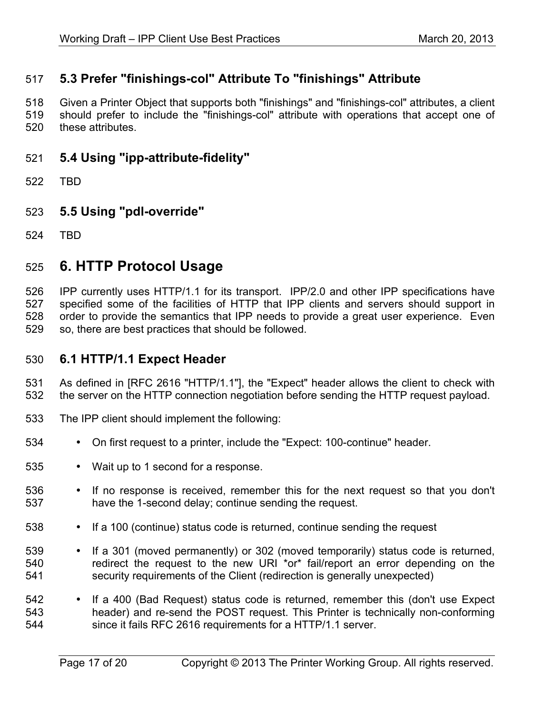# **5.3 Prefer "finishings-col" Attribute To "finishings" Attribute**

 Given a Printer Object that supports both "finishings" and "finishings-col" attributes, a client should prefer to include the "finishings-col" attribute with operations that accept one of

- these attributes.
- **5.4 Using "ipp-attribute-fidelity"**
- TBD
- **5.5 Using "pdl-override"**
- TBD

# **6. HTTP Protocol Usage**

 IPP currently uses HTTP/1.1 for its transport. IPP/2.0 and other IPP specifications have specified some of the facilities of HTTP that IPP clients and servers should support in order to provide the semantics that IPP needs to provide a great user experience. Even so, there are best practices that should be followed.

### **6.1 HTTP/1.1 Expect Header**

 As defined in [RFC 2616 "HTTP/1.1"], the "Expect" header allows the client to check with the server on the HTTP connection negotiation before sending the HTTP request payload.

- The IPP client should implement the following:
- On first request to a printer, include the "Expect: 100-continue" header.
- Wait up to 1 second for a response.
- If no response is received, remember this for the next request so that you don't have the 1-second delay; continue sending the request.
- If a 100 (continue) status code is returned, continue sending the request
- 539 If a 301 (moved permanently) or 302 (moved temporarily) status code is returned,<br>540 · Fredirect the request to the new URI \*or\* fail/report an error depending on the redirect the request to the new URI \*or\* fail/report an error depending on the security requirements of the Client (redirection is generally unexpected)
- <sup>542</sup> If a 400 (Bad Request) status code is returned, remember this (don't use Expect 543 header) and re-send the POST request. This Printer is technically non-conforming since it fails RFC 2616 requirements for a HTTP/1.1 server.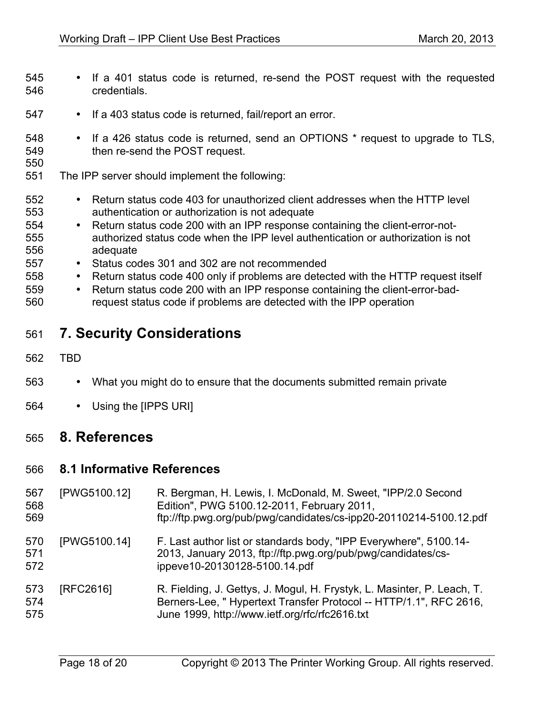- If a 401 status code is returned, re-send the POST request with the requested credentials.
- If a 403 status code is returned, fail/report an error.
- If a 426 status code is returned, send an OPTIONS \* request to upgrade to TLS, then re-send the POST request.
- 
- The IPP server should implement the following:
- 552 Return status code 403 for unauthorized client addresses when the HTTP level<br>553 authentication or authorization is not adequate authentication or authorization is not adequate
- Return status code 200 with an IPP response containing the client-error-notauthorized status code when the IPP level authentication or authorization is not adequate
- Status codes 301 and 302 are not recommended
- Return status code 400 only if problems are detected with the HTTP request itself
- Return status code 200 with an IPP response containing the client-error-bad-request status code if problems are detected with the IPP operation

# **7. Security Considerations**

- TBD
- What you might do to ensure that the documents submitted remain private
- Using the [IPPS URI]

## **8. References**

#### **8.1 Informative References**

| 567<br>568<br>569 | [PWG5100.12] | R. Bergman, H. Lewis, I. McDonald, M. Sweet, "IPP/2.0 Second<br>Edition", PWG 5100.12-2011, February 2011,<br>ftp://ftp.pwg.org/pub/pwg/candidates/cs-ipp20-20110214-5100.12.pdf               |
|-------------------|--------------|------------------------------------------------------------------------------------------------------------------------------------------------------------------------------------------------|
| 570<br>571<br>572 | [PWG5100.14] | F. Last author list or standards body, "IPP Everywhere", 5100.14-<br>2013, January 2013, ftp://ftp.pwg.org/pub/pwg/candidates/cs-<br>ippeve10-20130128-5100.14.pdf                             |
| 573<br>574<br>575 | [RFC2616]    | R. Fielding, J. Gettys, J. Mogul, H. Frystyk, L. Masinter, P. Leach, T.<br>Berners-Lee, "Hypertext Transfer Protocol -- HTTP/1.1", RFC 2616,<br>June 1999, http://www.ietf.org/rfc/rfc2616.txt |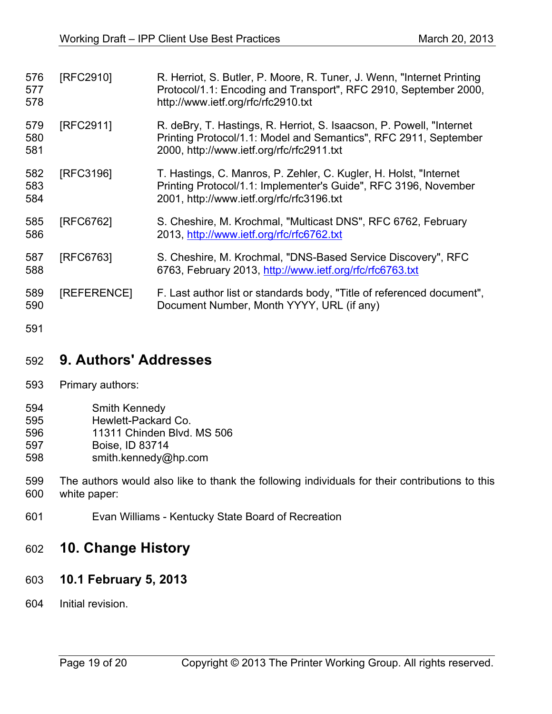| 576<br>577        | [RFC2910]   | R. Herriot, S. Butler, P. Moore, R. Tuner, J. Wenn, "Internet Printing<br>Protocol/1.1: Encoding and Transport", RFC 2910, September 2000,                                             |
|-------------------|-------------|----------------------------------------------------------------------------------------------------------------------------------------------------------------------------------------|
| 578               |             | http://www.ietf.org/rfc/rfc2910.txt                                                                                                                                                    |
| 579<br>580<br>581 | [RFC2911]   | R. deBry, T. Hastings, R. Herriot, S. Isaacson, P. Powell, "Internet"<br>Printing Protocol/1.1: Model and Semantics", RFC 2911, September<br>2000, http://www.ietf.org/rfc/rfc2911.txt |
| 582<br>583<br>584 | [RFC3196]   | T. Hastings, C. Manros, P. Zehler, C. Kugler, H. Holst, "Internet"<br>Printing Protocol/1.1: Implementer's Guide", RFC 3196, November<br>2001, http://www.ietf.org/rfc/rfc3196.txt     |
| 585<br>586        | [RFC6762]   | S. Cheshire, M. Krochmal, "Multicast DNS", RFC 6762, February<br>2013, http://www.ietf.org/rfc/rfc6762.txt                                                                             |
| 587<br>588        | [RFC6763]   | S. Cheshire, M. Krochmal, "DNS-Based Service Discovery", RFC<br>6763, February 2013, http://www.ietf.org/rfc/rfc6763.txt                                                               |
| 589<br>590        | [REFERENCE] | F. Last author list or standards body, "Title of referenced document",<br>Document Number, Month YYYY, URL (if any)                                                                    |
| 591               |             |                                                                                                                                                                                        |

# **9. Authors' Addresses**

- Primary authors:
- Smith Kennedy
- Hewlett-Packard Co.
- 11311 Chinden Blvd. MS 506
- Boise, ID 83714
- smith.kennedy@hp.com
- The authors would also like to thank the following individuals for their contributions to this white paper:
- Evan Williams Kentucky State Board of Recreation

# **10. Change History**

- **10.1 February 5, 2013**
- Initial revision.